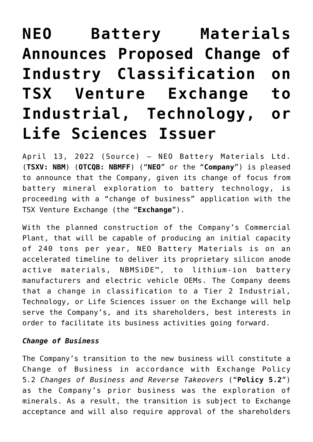# **[NEO Battery Materials](https://investorintel.com/markets/technology-metals/technology-metals-news/neo-battery-materials-announces-proposed-change-of-industry-classification-on-tsx-venture-exchange-to-industrial-technology-or-life-sciences-issuer/) [Announces Proposed Change of](https://investorintel.com/markets/technology-metals/technology-metals-news/neo-battery-materials-announces-proposed-change-of-industry-classification-on-tsx-venture-exchange-to-industrial-technology-or-life-sciences-issuer/) [Industry Classification on](https://investorintel.com/markets/technology-metals/technology-metals-news/neo-battery-materials-announces-proposed-change-of-industry-classification-on-tsx-venture-exchange-to-industrial-technology-or-life-sciences-issuer/) [TSX Venture Exchange to](https://investorintel.com/markets/technology-metals/technology-metals-news/neo-battery-materials-announces-proposed-change-of-industry-classification-on-tsx-venture-exchange-to-industrial-technology-or-life-sciences-issuer/) [Industrial, Technology, or](https://investorintel.com/markets/technology-metals/technology-metals-news/neo-battery-materials-announces-proposed-change-of-industry-classification-on-tsx-venture-exchange-to-industrial-technology-or-life-sciences-issuer/) [Life Sciences Issuer](https://investorintel.com/markets/technology-metals/technology-metals-news/neo-battery-materials-announces-proposed-change-of-industry-classification-on-tsx-venture-exchange-to-industrial-technology-or-life-sciences-issuer/)**

April 13, 2022 ([Source\)](https://www.globenewswire.com/news-release/2022/04/14/2422354/0/en/NEO-Battery-Materials-Announces-Proposed-Change-of-Industry-Classification-on-TSX-Venture-Exchange-to-Industrial-Technology-or-Life-Sciences-Issuer.html) — NEO Battery Materials Ltd. (**TSXV: NBM**) (**OTCQB: NBMFF**) ("**NEO**" or the "**Company**") is pleased to announce that the Company, given its change of focus from battery mineral exploration to battery technology, is proceeding with a "change of business" application with the TSX Venture Exchange (the "**Exchange**").

With the planned construction of the Company's Commercial Plant, that will be capable of producing an initial capacity of 240 tons per year, NEO Battery Materials is on an accelerated timeline to deliver its proprietary silicon anode active materials, NBMSiDE™, to lithium-ion battery manufacturers and electric vehicle OEMs. The Company deems that a change in classification to a Tier 2 Industrial, Technology, or Life Sciences issuer on the Exchange will help serve the Company's, and its shareholders, best interests in order to facilitate its business activities going forward.

#### *Change of Business*

The Company's transition to the new business will constitute a Change of Business in accordance with Exchange Policy 5.2 *Changes of Business and Reverse Takeovers* ("**Policy 5.2**") as the Company's prior business was the exploration of minerals. As a result, the transition is subject to Exchange acceptance and will also require approval of the shareholders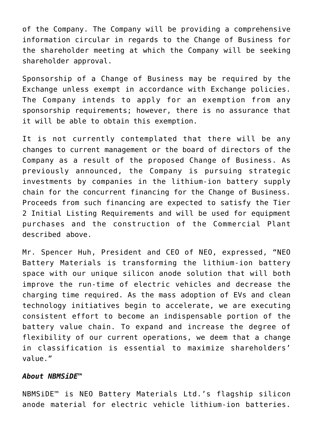of the Company. The Company will be providing a comprehensive information circular in regards to the Change of Business for the shareholder meeting at which the Company will be seeking shareholder approval.

Sponsorship of a Change of Business may be required by the Exchange unless exempt in accordance with Exchange policies. The Company intends to apply for an exemption from any sponsorship requirements; however, there is no assurance that it will be able to obtain this exemption.

It is not currently contemplated that there will be any changes to current management or the board of directors of the Company as a result of the proposed Change of Business. As previously announced, the Company is pursuing strategic investments by companies in the lithium-ion battery supply chain for the concurrent financing for the Change of Business. Proceeds from such financing are expected to satisfy the Tier 2 Initial Listing Requirements and will be used for equipment purchases and the construction of the Commercial Plant described above.

Mr. Spencer Huh, President and CEO of NEO, expressed, "NEO Battery Materials is transforming the lithium-ion battery space with our unique silicon anode solution that will both improve the run-time of electric vehicles and decrease the charging time required. As the mass adoption of EVs and clean technology initiatives begin to accelerate, we are executing consistent effort to become an indispensable portion of the battery value chain. To expand and increase the degree of flexibility of our current operations, we deem that a change in classification is essential to maximize shareholders' value."

#### *About NBMSiDE™*

NBMSiDE™ is NEO Battery Materials Ltd.'s flagship silicon anode material for electric vehicle lithium-ion batteries.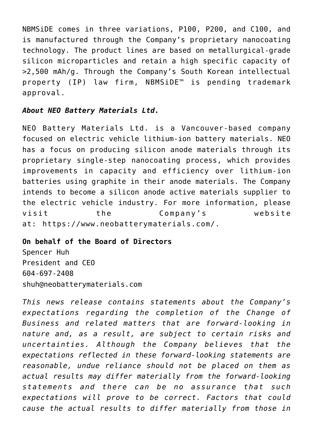NBMSiDE comes in three variations, P100, P200, and C100, and is manufactured through the Company's proprietary nanocoating technology. The product lines are based on metallurgical-grade silicon microparticles and retain a high specific capacity of >2,500 mAh/g. Through the Company's South Korean intellectual property (IP) law firm, NBMSiDE™ is pending trademark approval.

### *About NEO Battery Materials Ltd.*

NEO Battery Materials Ltd. is a Vancouver-based company focused on electric vehicle lithium-ion battery materials. NEO has a focus on producing silicon anode materials through its proprietary single-step nanocoating process, which provides improvements in capacity and efficiency over lithium-ion batteries using graphite in their anode materials. The Company intends to become a silicon anode active materials supplier to the electric vehicle industry. For more information, please visit the Company's website at: [https://www.neobatterymaterials.com/.](https://www.globenewswire.com/Tracker?data=Rw9ONjNrIcgnV_5FMGn06gkuDCsC1Ru77qmShOgggmgKD71QuI9Y3VB9pRg9gjxlCDFjS0KKThvM0DYGB7aYW6DewdGbmoafROOxwraZT46GAM5FzW1Q9FbgcYHkB-gm)

## **On behalf of the Board of Directors**

Spencer Huh President and CEO 604-697-2408 [shuh@neobatterymaterials.com](https://www.globenewswire.com/Tracker?data=yprm5Z9DFq1BiFOtu6AhqqP28963UJDsG4931uImU5mlhHbalXMlqXXjQAOLsr06Fa5rI4CKi8U8ORk8VP0mBcVSU1nyruc9H6bayMc2Dkcoy0h00qwCGGZu3XCGSXRH)

*This news release contains statements about the Company's expectations regarding the completion of the Change of Business and related matters that are forward-looking in nature and, as a result, are subject to certain risks and uncertainties. Although the Company believes that the expectations reflected in these forward-looking statements are reasonable, undue reliance should not be placed on them as actual results may differ materially from the forward-looking statements and there can be no assurance that such expectations will prove to be correct. Factors that could cause the actual results to differ materially from those in*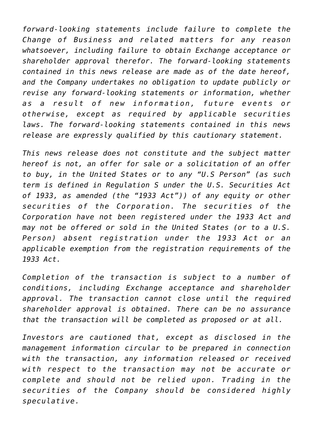*forward-looking statements include failure to complete the Change of Business and related matters for any reason whatsoever, including failure to obtain Exchange acceptance or shareholder approval therefor. The forward-looking statements contained in this news release are made as of the date hereof, and the Company undertakes no obligation to update publicly or revise any forward-looking statements or information, whether as a result of new information, future events or otherwise, except as required by applicable securities laws. The forward-looking statements contained in this news release are expressly qualified by this cautionary statement.*

*This news release does not constitute and the subject matter hereof is not, an offer for sale or a solicitation of an offer to buy, in the United States or to any "U.S Person" (as such term is defined in Regulation S under the U.S. Securities Act of 1933, as amended (the "1933 Act")) of any equity or other securities of the Corporation. The securities of the Corporation have not been registered under the 1933 Act and may not be offered or sold in the United States (or to a U.S. Person) absent registration under the 1933 Act or an applicable exemption from the registration requirements of the 1933 Act.*

*Completion of the transaction is subject to a number of conditions, including Exchange acceptance and shareholder approval. The transaction cannot close until the required shareholder approval is obtained. There can be no assurance that the transaction will be completed as proposed or at all.*

*Investors are cautioned that, except as disclosed in the management information circular to be prepared in connection with the transaction, any information released or received with respect to the transaction may not be accurate or complete and should not be relied upon. Trading in the securities of the Company should be considered highly speculative.*